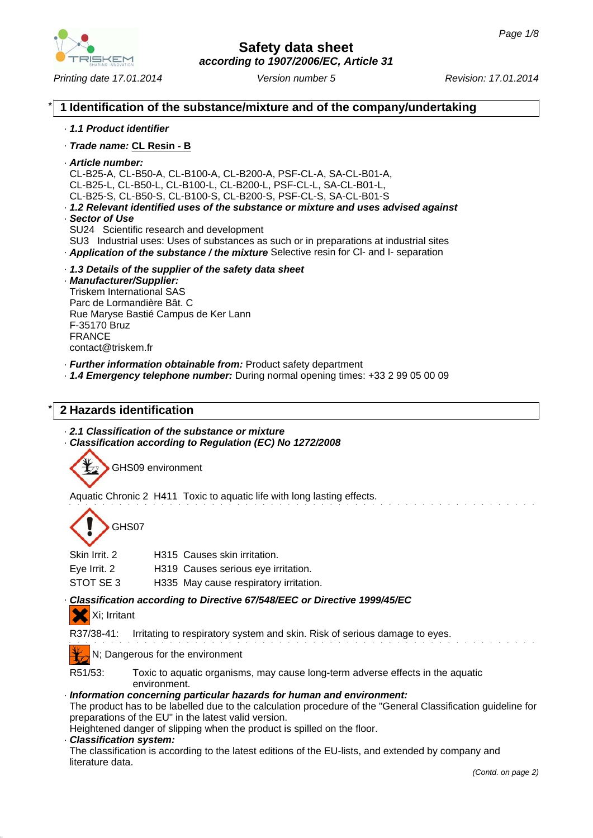

*Printing date 17.01.2014 Revision: 17.01.2014 Version number 5*

### \* **1 Identification of the substance/mixture and of the company/undertaking**

#### · *1.1 Product identifier*

- · *Trade name:* **CL Resin B**
- · *Article number:*

CL-B25-A, CL-B50-A, CL-B100-A, CL-B200-A, PSF-CL-A, SA-CL-B01-A, CL-B25-L, CL-B50-L, CL-B100-L, CL-B200-L, PSF-CL-L, SA-CL-B01-L, CL-B25-S, CL-B50-S, CL-B100-S, CL-B200-S, PSF-CL-S, SA-CL-B01-S

- · *1.2 Relevant identified uses of the substance or mixture and uses advised against* · *Sector of Use*
- SU24 Scientific research and development
- SU3 Industrial uses: Uses of substances as such or in preparations at industrial sites
- · *Application of the substance / the mixture* Selective resin for Cl- and I- separation
- · *1.3 Details of the supplier of the safety data sheet*

#### · *Manufacturer/Supplier:* Triskem International SAS

Parc de Lormandière Bât. C Rue Maryse Bastié Campus de Ker Lann F-35170 Bruz **FRANCE** contact@triskem.fr

- · *Further information obtainable from:* Product safety department
- · *1.4 Emergency telephone number:* During normal opening times: +33 2 99 05 00 09

## \* **2 Hazards identification**

- · *2.1 Classification of the substance or mixture*
- · *Classification according to Regulation (EC) No 1272/2008*



Aquatic Chronic 2 H411 Toxic to aquatic life with long lasting effects.

GHS07

| Skin Irrit. 2 | H315 Causes skin irritation.           |
|---------------|----------------------------------------|
| Eye Irrit. 2  | H319 Causes serious eye irritation.    |
| STOT SE 3     | H335 May cause respiratory irritation. |

## · *Classification according to Directive 67/548/EEC or Directive 1999/45/EC*

## Xi; Irritant

R37/38-41: Irritating to respiratory system and skin. Risk of serious damage to eyes.

N; Dangerous for the environment

R51/53: Toxic to aquatic organisms, may cause long-term adverse effects in the aquatic environment.

#### · *Information concerning particular hazards for human and environment:*

The product has to be labelled due to the calculation procedure of the "General Classification guideline for preparations of the EU" in the latest valid version.

Heightened danger of slipping when the product is spilled on the floor.

· *Classification system:*

The classification is according to the latest editions of the EU-lists, and extended by company and literature data.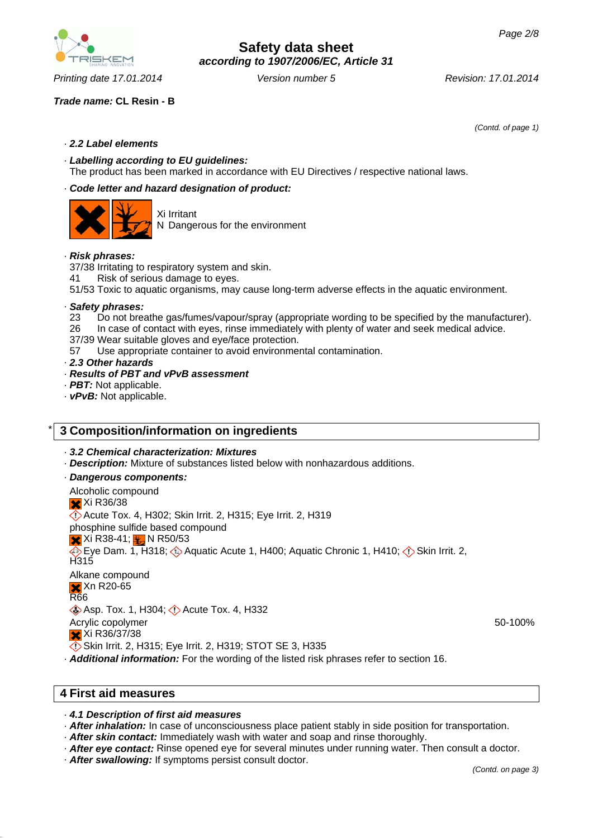## *Trade name:* **CL Resin - B**

· *2.2 Label elements*

· *Labelling according to EU guidelines:* The product has been marked in accordance with EU Directives / respective national laws.

#### · *Code letter and hazard designation of product:*



Xi Irritant N Dangerous for the environment

#### · *Risk phrases:*

37/38 Irritating to respiratory system and skin.

41 Risk of serious damage to eyes.

51/53 Toxic to aquatic organisms, may cause long-term adverse effects in the aquatic environment.

#### · *Safety phrases:*

- 23 Do not breathe gas/fumes/vapour/spray (appropriate wording to be specified by the manufacturer).
- 26 In case of contact with eyes, rinse immediately with plenty of water and seek medical advice.
- 37/39 Wear suitable gloves and eye/face protection.
- 57 Use appropriate container to avoid environmental contamination.
- · *2.3 Other hazards*
- · *Results of PBT and vPvB assessment*
- · *PBT:* Not applicable.
- · *vPvB:* Not applicable.

## \* **3 Composition/information on ingredients**

· *3.2 Chemical characterization: Mixtures*

· *Description:* Mixture of substances listed below with nonhazardous additions.

· *Dangerous components:*

Alcoholic compound **X** Xi R36/38 Acute Tox. 4, H302; Skin Irrit. 2, H315; Eye Irrit. 2, H319 phosphine sulfide based compound  $\times$  Xi R38-41;  $\frac{1}{2}$  N R50/53  $\overline{\diamondsuit}$  Eve Dam. 1, H318;  $\diamondsuit$  Aquatic Acute 1, H400; Aquatic Chronic 1, H410;  $\diamondsuit$  Skin Irrit. 2, H315 Alkane compound Xn R20-65 R66 **Asp. Tox. 1, H304; Acute Tox. 4, H332** Acrylic copolymer Xi R36/37/38

- Skin Irrit. 2, H315; Eye Irrit. 2, H319; STOT SE 3, H335
- · *Additional information:* For the wording of the listed risk phrases refer to section 16.

## **4 First aid measures**

#### · *4.1 Description of first aid measures*

· *After inhalation:* In case of unconsciousness place patient stably in side position for transportation.

- · *After skin contact:* Immediately wash with water and soap and rinse thoroughly.
- · *After eye contact:* Rinse opened eye for several minutes under running water. Then consult a doctor.
- · *After swallowing:* If symptoms persist consult doctor.



*Printing date 17.01.2014 Revision: 17.01.2014 Version number 5*

*(Contd. of page 1)*

50-100%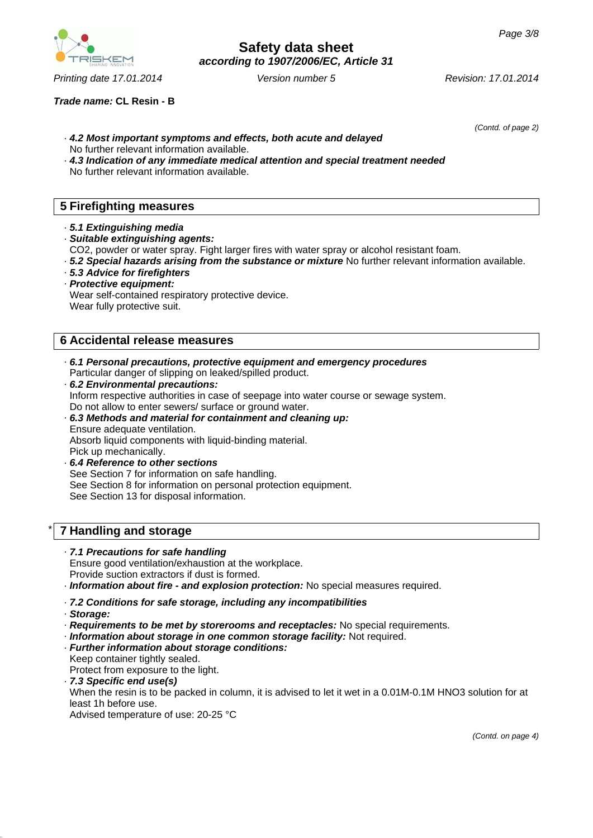

*Trade name:* **CL Resin - B**

*(Contd. of page 2)*

- · *4.2 Most important symptoms and effects, both acute and delayed* No further relevant information available.
- · *4.3 Indication of any immediate medical attention and special treatment needed* No further relevant information available.

## **5 Firefighting measures**

- · *5.1 Extinguishing media*
- · *Suitable extinguishing agents:*
- CO2, powder or water spray. Fight larger fires with water spray or alcohol resistant foam.
- · *5.2 Special hazards arising from the substance or mixture* No further relevant information available.
- · *5.3 Advice for firefighters*
- · *Protective equipment:* Wear self-contained respiratory protective device. Wear fully protective suit.

## **6 Accidental release measures**

- · *6.1 Personal precautions, protective equipment and emergency procedures* Particular danger of slipping on leaked/spilled product.
- · *6.2 Environmental precautions:* Inform respective authorities in case of seepage into water course or sewage system. Do not allow to enter sewers/ surface or ground water.
- · *6.3 Methods and material for containment and cleaning up:* Ensure adequate ventilation. Absorb liquid components with liquid-binding material. Pick up mechanically.
- · *6.4 Reference to other sections* See Section 7 for information on safe handling. See Section 8 for information on personal protection equipment. See Section 13 for disposal information.

## \* **7 Handling and storage**

#### · *7.1 Precautions for safe handling*

Ensure good ventilation/exhaustion at the workplace. Provide suction extractors if dust is formed.

· *Information about fire - and explosion protection:* No special measures required.

#### · *7.2 Conditions for safe storage, including any incompatibilities*

- · *Storage:*
- · *Requirements to be met by storerooms and receptacles:* No special requirements.
- · *Information about storage in one common storage facility:* Not required.
- · *Further information about storage conditions:* Keep container tightly sealed. Protect from exposure to the light.
- · *7.3 Specific end use(s)* When the resin is to be packed in column, it is advised to let it wet in a 0.01M-0.1M HNO3 solution for at least 1h before use. Advised temperature of use: 20-25 °C

*(Contd. on page 4)*



*Printing date 17.01.2014 Revision: 17.01.2014 Version number 5*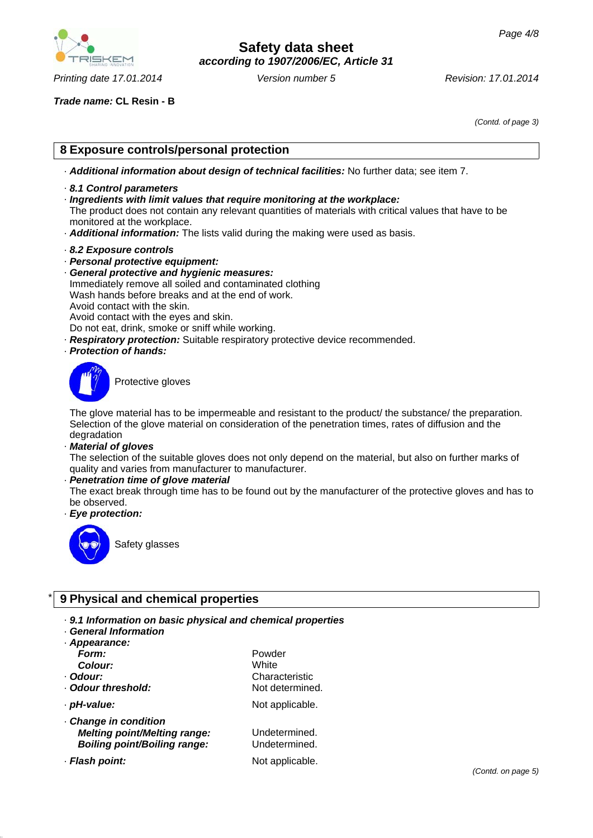

*Printing date 17.01.2014 Revision: 17.01.2014 Version number 5*

## **Safety data sheet** *according to 1907/2006/EC, Article 31*

*Trade name:* **CL Resin - B**

*(Contd. of page 3)*

## **8 Exposure controls/personal protection**

- · *Additional information about design of technical facilities:* No further data; see item 7.
- · *8.1 Control parameters*
- · *Ingredients with limit values that require monitoring at the workplace:*

The product does not contain any relevant quantities of materials with critical values that have to be monitored at the workplace.

- · *Additional information:* The lists valid during the making were used as basis.
- · *8.2 Exposure controls*
- · *Personal protective equipment:*
- · *General protective and hygienic measures:* Immediately remove all soiled and contaminated clothing Wash hands before breaks and at the end of work. Avoid contact with the skin. Avoid contact with the eyes and skin. Do not eat, drink, smoke or sniff while working.
- · *Respiratory protection:* Suitable respiratory protective device recommended.
- · *Protection of hands:*



Protective gloves

The glove material has to be impermeable and resistant to the product/ the substance/ the preparation. Selection of the glove material on consideration of the penetration times, rates of diffusion and the degradation

· *Material of gloves*

The selection of the suitable gloves does not only depend on the material, but also on further marks of quality and varies from manufacturer to manufacturer.

· *Penetration time of glove material*

The exact break through time has to be found out by the manufacturer of the protective gloves and has to be observed.

· *Eye protection:*



Safety glasses

## \* **9 Physical and chemical properties**

- · *9.1 Information on basic physical and chemical properties*
- · *General Information*
- · *Appearance: Form:* Powder *Colour:* White · **Odour threshold:** Not determined.
- 
- · *Change in condition Melting point/Melting range:* Undetermined. *Boiling point/Boiling range:* Undetermined.
- 
- · *Odour:* Characteristic · *pH-value:* Not applicable.
- · **Flash point:** Not applicable.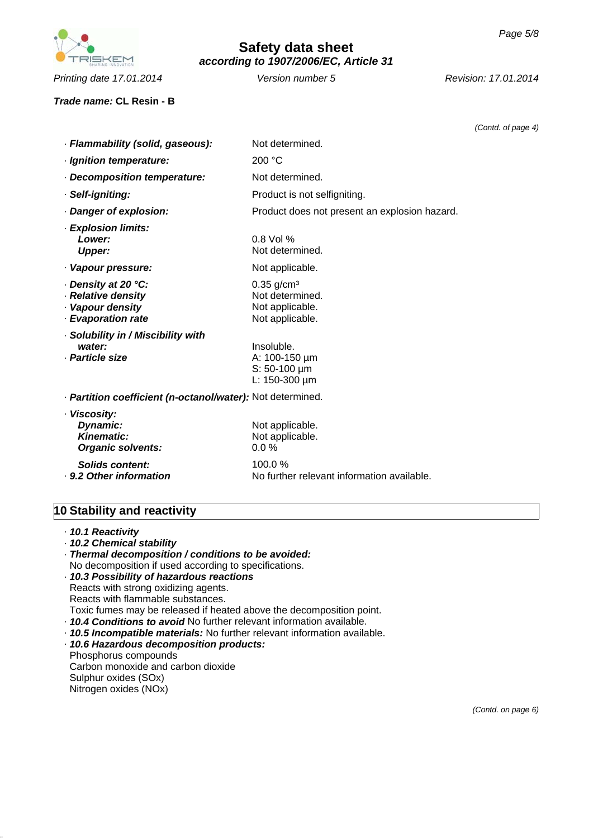

*Printing date 17.01.2014 Revision: 17.01.2014 Version number 5*

#### *Trade name:* **CL Resin - B**

*(Contd. of page 4)*

| · Flammability (solid, gaseous):                                                    | Not determined.                                                                   |  |
|-------------------------------------------------------------------------------------|-----------------------------------------------------------------------------------|--|
| · Ignition temperature:                                                             | 200 °C                                                                            |  |
| · Decomposition temperature:                                                        | Not determined.                                                                   |  |
| · Self-igniting:                                                                    | Product is not selfigniting.                                                      |  |
| · Danger of explosion:                                                              | Product does not present an explosion hazard.                                     |  |
| · Explosion limits:<br>Lower:<br><b>Upper:</b>                                      | $0.8$ Vol %<br>Not determined.                                                    |  |
| · Vapour pressure:                                                                  | Not applicable.                                                                   |  |
| ⋅ Density at 20 °C:<br>· Relative density<br>· Vapour density<br>· Evaporation rate | $0.35$ g/cm <sup>3</sup><br>Not determined.<br>Not applicable.<br>Not applicable. |  |
| · Solubility in / Miscibility with<br>water:<br>· Particle size                     | Insoluble.<br>A: 100-150 µm<br>$S: 50-100 \mu m$<br>L: $150-300 \mu m$            |  |
| · Partition coefficient (n-octanol/water): Not determined.                          |                                                                                   |  |
| · Viscosity:<br>Dynamic:<br>Kinematic:<br><b>Organic solvents:</b>                  | Not applicable.<br>Not applicable.<br>0.0%                                        |  |
| Solids content:<br>. 9.2 Other information                                          | 100.0%<br>No further relevant information available.                              |  |

# **10 Stability and reactivity**

| · 10.1 Reactivity |  |
|-------------------|--|
|-------------------|--|

- · *10.2 Chemical stability*
- · *Thermal decomposition / conditions to be avoided:*
- No decomposition if used according to specifications.
- · *10.3 Possibility of hazardous reactions* Reacts with strong oxidizing agents. Reacts with flammable substances.
- Toxic fumes may be released if heated above the decomposition point.
- · *10.4 Conditions to avoid* No further relevant information available.
- · *10.5 Incompatible materials:* No further relevant information available.
- · *10.6 Hazardous decomposition products:*

Phosphorus compounds Carbon monoxide and carbon dioxide Sulphur oxides (SOx) Nitrogen oxides (NOx)

*(Contd. on page 6)*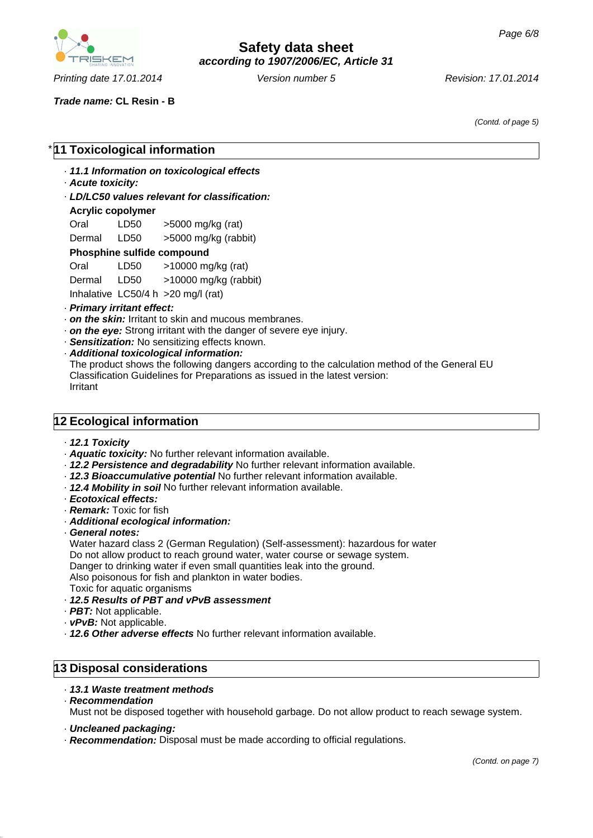

*Printing date 17.01.2014 Revision: 17.01.2014 Version number 5*

# **Safety data sheet** *according to 1907/2006/EC, Article 31*

*Trade name:* **CL Resin - B**

*(Contd. of page 5)*

## **11 Toxicological information**

· *11.1 Information on toxicological effects*

- · *Acute toxicity:*
- · *LD/LC50 values relevant for classification:*

#### **Acrylic copolymer**

| Oral   | LD50 | >5000 mg/kg (rat)    |
|--------|------|----------------------|
| Dermal | LD50 | >5000 mg/kg (rabbit) |

#### **Phosphine sulfide compound**

| Oral                                 | LD50     | $>10000$ mg/kg (rat)  |
|--------------------------------------|----------|-----------------------|
| Dermal                               | LD50     | >10000 mg/kg (rabbit) |
| the design of the state of the state | 1.050141 | <b>00. 1</b> $1.1$    |

Inhalative LC50/4 h >20 mg/l (rat)

#### · *Primary irritant effect:*

- · *on the skin:* Irritant to skin and mucous membranes.
- · *on the eye:* Strong irritant with the danger of severe eye injury.
- · *Sensitization:* No sensitizing effects known.
- · *Additional toxicological information:*

The product shows the following dangers according to the calculation method of the General EU Classification Guidelines for Preparations as issued in the latest version: Irritant

## **12 Ecological information**

- · *12.1 Toxicity*
- · *Aquatic toxicity:* No further relevant information available.
- · *12.2 Persistence and degradability* No further relevant information available.
- · *12.3 Bioaccumulative potential* No further relevant information available.
- · *12.4 Mobility in soil* No further relevant information available.
- · *Ecotoxical effects:*
- · *Remark:* Toxic for fish
- · *Additional ecological information:*
- · *General notes:*

Water hazard class 2 (German Regulation) (Self-assessment): hazardous for water Do not allow product to reach ground water, water course or sewage system. Danger to drinking water if even small quantities leak into the ground. Also poisonous for fish and plankton in water bodies.

Toxic for aquatic organisms

- · *12.5 Results of PBT and vPvB assessment*
- · *PBT:* Not applicable.
- · *vPvB:* Not applicable.
- · *12.6 Other adverse effects* No further relevant information available.

## **13 Disposal considerations**

- · *13.1 Waste treatment methods*
- · *Recommendation*

Must not be disposed together with household garbage. Do not allow product to reach sewage system.

- · *Uncleaned packaging:*
- · *Recommendation:* Disposal must be made according to official regulations.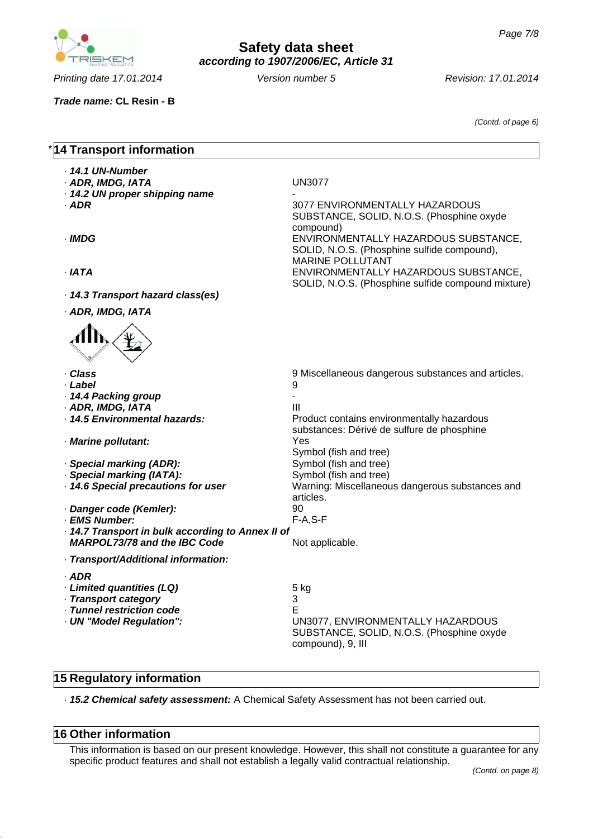

*according to 1907/2006/EC, Article 31*

**Safety data sheet**

*Printing date 17.01.2014 Revision: 17.01.2014 Version number 5*

*Trade name:* **CL Resin - B**

*(Contd. of page 6)*

## **14 Transport information** · *14.1 UN-Number* · *ADR, IMDG, IATA* UN3077  $\cdot$  14.2 UN proper shipping name · *ADR* 3077 ENVIRONMENTALLY HAZARDOUS SUBSTANCE, SOLID, N.O.S. (Phosphine oxyde compound) · *IMDG* ENVIRONMENTALLY HAZARDOUS SUBSTANCE, SOLID, N.O.S. (Phosphine sulfide compound), MARINE POLLUTANT · *IATA* ENVIRONMENTALLY HAZARDOUS SUBSTANCE, SOLID, N.O.S. (Phosphine sulfide compound mixture) · *14.3 Transport hazard class(es)* · *ADR, IMDG, IATA* · *Class* 9 Miscellaneous dangerous substances and articles. · *Label* 9 · *14.4 Packing group* - · *ADR, IMDG, IATA* III · **14.5 Environmental hazards:** Product contains environmentally hazardous substances: Dérivé de sulfure de phosphine · *Marine pollutant:* Yes Symbol (fish and tree) · **Special marking (ADR):** Symbol (fish and tree) · **Special marking (IATA):** Symbol (fish and tree) · *14.6 Special precautions for user* Warning: Miscellaneous dangerous substances and articles. · *Danger code (Kemler):* 90 · EMS Number: · *14.7 Transport in bulk according to Annex II of MARPOL73/78 and the IBC Code* Not applicable. · *Transport/Additional information:* · *ADR* · *Limited quantities (LQ)* 5 kg · *Transport category* 3 · *Tunnel restriction code* E · *UN "Model Regulation":* UN3077, ENVIRONMENTALLY HAZARDOUS SUBSTANCE, SOLID, N.O.S. (Phosphine oxyde compound), 9, III

## **15 Regulatory information**

· *15.2 Chemical safety assessment:* A Chemical Safety Assessment has not been carried out.

## **16 Other information**

This information is based on our present knowledge. However, this shall not constitute a guarantee for any specific product features and shall not establish a legally valid contractual relationship.